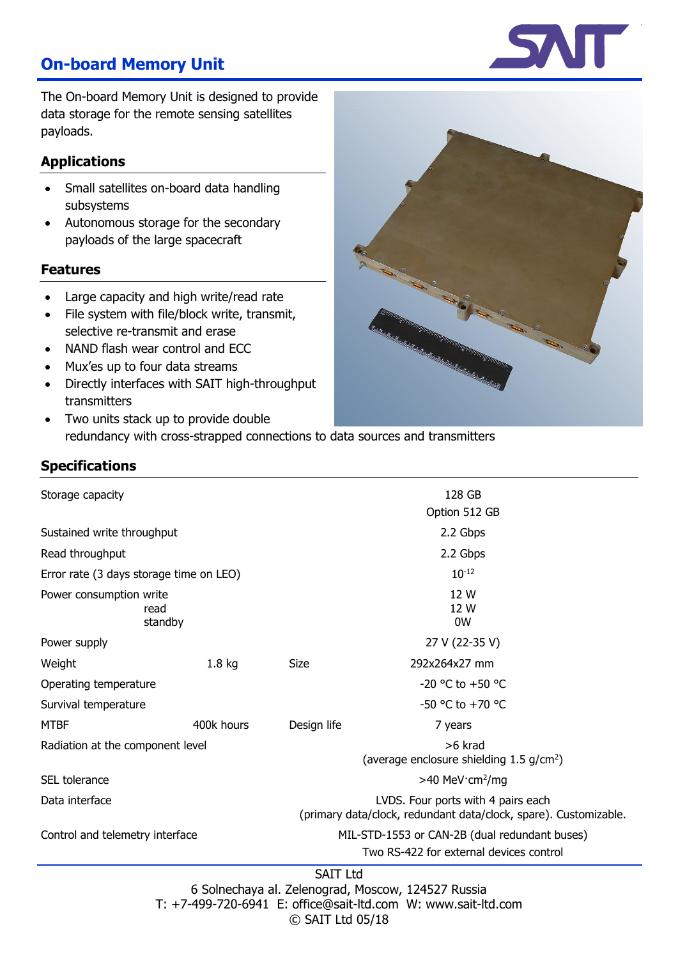# **On-board Memory Unit**

The On-board Memory Unit is designed to provide data storage for the remote sensing satellites payloads.

#### **Applications**

- Small satellites on-board data handling subsystems
- Autonomous storage for the secondary payloads of the large spacecraft

#### **Features**

- Large capacity and high write/read rate
- File system with file/block write, transmit, selective re-transmit and erase
- NAND flash wear control and ECC
- Mux'es up to four data streams
- Directly interfaces with SAIT high-throughput transmitters
- Two units stack up to provide double redundancy with cross-strapped connections to data sources and transmitters

#### **Specifications**

| $\bullet$<br>$\mathcal{G}$                                                                                                                                                                                                                      |  |
|-------------------------------------------------------------------------------------------------------------------------------------------------------------------------------------------------------------------------------------------------|--|
| 20<br>P Rod<br>Ô<br>No. of Canada<br>$\sqrt{a}$<br>$\odot$<br>1<br>$\circ$<br><b>CENTRALITY OF THE CONTRALITY OF THE CONTRACT OF THE CONTRACT OF THE CONTRACT OF THE CONTRACT OF THE CONTRACT O</b><br><b>Color</b><br>ெ<br><b>Coleman</b><br>ව |  |

| Storage capacity                                   |                   | 128 GB                                                                                                 |                      |  |
|----------------------------------------------------|-------------------|--------------------------------------------------------------------------------------------------------|----------------------|--|
|                                                    |                   | Option 512 GB                                                                                          |                      |  |
| Sustained write throughput                         |                   | 2.2 Gbps                                                                                               |                      |  |
| Read throughput                                    |                   | 2.2 Gbps                                                                                               |                      |  |
| Error rate (3 days storage time on LEO)            |                   | $10^{-12}$                                                                                             |                      |  |
| Power consumption write<br>read<br>standby         |                   | 12 W<br>12 W<br>0W                                                                                     |                      |  |
| Power supply                                       |                   |                                                                                                        | 27 V (22-35 V)       |  |
| Weight                                             | 1.8 <sub>kg</sub> | Size                                                                                                   | 292x264x27 mm        |  |
| Operating temperature                              |                   |                                                                                                        | -20 °C to +50 °C     |  |
| Survival temperature                               |                   |                                                                                                        | $-50$ °C to $+70$ °C |  |
| <b>MTBF</b>                                        | 400k hours        | Design life                                                                                            | 7 years              |  |
| Radiation at the component level                   |                   | >6 krad<br>(average enclosure shielding $1.5$ g/cm <sup>2</sup> )                                      |                      |  |
| SEL tolerance                                      |                   | $>40$ MeV cm <sup>2</sup> /mg                                                                          |                      |  |
| Data interface                                     |                   | LVDS. Four ports with 4 pairs each<br>(primary data/clock, redundant data/clock, spare). Customizable. |                      |  |
| Control and telemetry interface                    |                   | MIL-STD-1553 or CAN-2B (dual redundant buses)                                                          |                      |  |
|                                                    |                   | Two RS-422 for external devices control                                                                |                      |  |
| <b>SAIT Ltd</b>                                    |                   |                                                                                                        |                      |  |
| 6 Solnechaya al. Zelenograd, Moscow, 124527 Russia |                   |                                                                                                        |                      |  |

T: +7-499-720-6941 E: office@sait-ltd.com W: www.sait-ltd.com

© SAIT Ltd 05/18